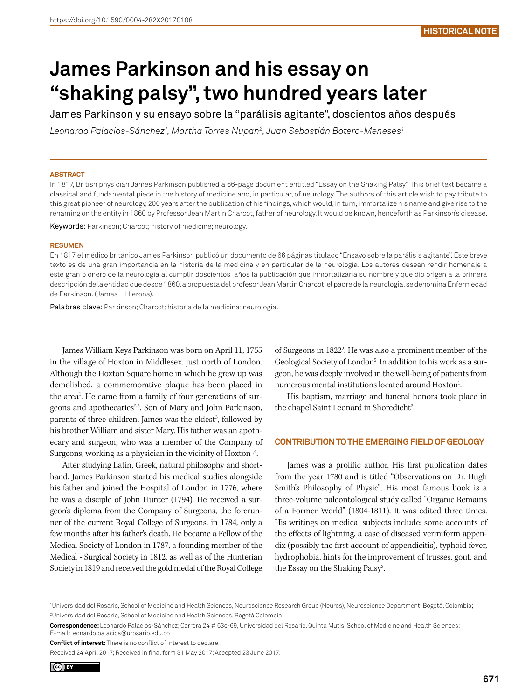# **James Parkinson and his essay on "shaking palsy", two hundred years later**

James Parkinson y su ensayo sobre la "parálisis agitante", doscientos años después

*Leonardo Palacios-Sánchez1 , Martha Torres Nupan2 , Juan Sebastián Botero-Meneses1*

## **ABSTRACT**

In 1817, British physician James Parkinson published a 66-page document entitled "Essay on the Shaking Palsy". This brief text became a classical and fundamental piece in the history of medicine and, in particular, of neurology. The authors of this article wish to pay tribute to this great pioneer of neurology, 200 years after the publication of his findings, which would, in turn, immortalize his name and give rise to the renaming on the entity in 1860 by Professor Jean Martin Charcot, father of neurology. It would be known, henceforth as Parkinson's disease.

Keywords: Parkinson; Charcot; history of medicine; neurology.

#### **RESUMEN**

En 1817 el médico británico James Parkinson publicó un documento de 66 páginas titulado "Ensayo sobre la parálisis agitante". Este breve texto es de una gran importancia en la historia de la medicina y en particular de la neurología. Los autores desean rendir homenaje a este gran pionero de la neurología al cumplir doscientos años la publicación que inmortalizaría su nombre y que dio origen a la primera descripción de la entidad que desde 1860, a propuesta del profesor Jean Martin Charcot, el padre de la neurología, se denomina Enfermedad de Parkinson. (James – Hierons).

Palabras clave: Parkinson; Charcot; historia de la medicina; neurología.

James William Keys Parkinson was born on April 11, 1755 in the village of Hoxton in Middlesex, just north of London. Although the Hoxton Square home in which he grew up was demolished, a commemorative plaque has been placed in the area<sup>1</sup>. He came from a family of four generations of surgeons and apothecaries<sup>2,3</sup>. Son of Mary and John Parkinson, parents of three children, James was the eldest<sup>3</sup>, followed by his brother William and sister Mary. His father was an apothecary and surgeon, who was a member of the Company of Surgeons, working as a physician in the vicinity of  $Hoxton<sup>1,4</sup>$ .

After studying Latin, Greek, natural philosophy and shorthand, James Parkinson started his medical studies alongside his father and joined the Hospital of London in 1776, where he was a disciple of John Hunter (1794). He received a surgeon's diploma from the Company of Surgeons, the forerunner of the current Royal College of Surgeons, in 1784, only a few months after his father's death. He became a Fellow of the Medical Society of London in 1787, a founding member of the Medical - Surgical Society in 1812, as well as of the Hunterian Society in 1819 and received the gold medal of the Royal College

of Surgeons in 1822<sup>2</sup>. He was also a prominent member of the Geological Society of London<sup>5</sup>. In addition to his work as a surgeon, he was deeply involved in the well-being of patients from numerous mental institutions located around Hoxton<sup>1</sup>. .

His baptism, marriage and funeral honors took place in the chapel Saint Leonard in Shoredicht<sup>2</sup>.

## **CONTRIBUTION TO THE EMERGING FIELD OF GEOLOGY**

James was a prolific author. His first publication dates from the year 1780 and is titled "Observations on Dr. Hugh Smith's Philosophy of Physic". His most famous book is a three-volume paleontological study called "Organic Remains of a Former World" (1804-1811). It was edited three times. His writings on medical subjects include: some accounts of the effects of lightning, a case of diseased vermiform appendix (possibly the first account of appendicitis), typhoid fever, hydrophobia, hints for the improvement of trusses, gout, and the Essay on the Shaking Palsy<sup>3</sup>. .

<sup>1</sup> Universidad del Rosario, School of Medicine and Health Sciences, Neuroscience Research Group (Neuros), Neuroscience Department, Bogotá, Colombia; 2 Universidad del Rosario, School of Medicine and Health Sciences, Bogotá Colombia.

**Correspondence:** Leonardo Palacios-Sánchez; Carrera 24 # 63c-69, Universidad del Rosario, Quinta Mutis, School of Medicine and Health Sciences; E-mail: leonardo.palacios@urosario.edu.co

**Conflict of interest:** There is no conflict of interest to declare.

Received 24 April 2017; Received in final form 31 May 2017; Accepted 23 June 2017.